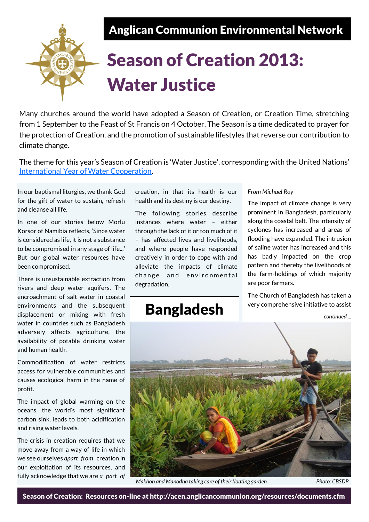Anglican Communion Environmental Network



# Season of Creation 2013: Water Justice

Many churches around the world have adopted a Season of Creation, or Creation Time, stretching from 1 September to the Feast of St Francis on 4 October. The Season is a time dedicated to prayer for the protection of Creation, and the promotion of sustainable lifestyles that reverse our contribution to climate change.

The theme for this year's Season of Creation is 'Water Justice', corresponding with the United Nations' [International Year of Water Cooperation.](http://www.unwater.org/watercooperation2013.html)

In our baptismal liturgies, we thank God for the gift of water to sustain, refresh and cleanse all life.

In one of our stories below Morlu Korsor of Namibia reflects, 'Since water is considered as life, it is not a substance to be compromised in any stage of life...' But our global water resources have been compromised.

There is unsustainable extraction from rivers and deep water aquifers. The encroachment of salt water in coastal environments and the subsequent displacement or mixing with fresh water in countries such as Bangladesh adversely affects agriculture, the availability of potable drinking water and human health.

Commodification of water restricts access for vulnerable communities and causes ecological harm in the name of profit.

The impact of global warming on the oceans, the world's most significant carbon sink, leads to both acidification and rising water levels.

The crisis in creation requires that we move away from a way of life in which we see ourselves *apart from* creation in our exploitation of its resources, and fully acknowledge that we are *a part of*  creation, in that its health is our health and its destiny is our destiny.

The following stories describe instances where water – either through the lack of it or too much of it – has affected lives and livelihoods, and where people have responded creatively in order to cope with and alleviate the impacts of climate change and environmental degradation.

## Bangladesh

#### *From Michael Roy*

The impact of climate change is very prominent in Bangladesh, particularly along the coastal belt. The intensity of cyclones has increased and areas of flooding have expanded. The intrusion of saline water has increased and this has badly impacted on the crop pattern and thereby the livelihoods of the farm-holdings of which majority are poor farmers.

The Church of Bangladesh has taken a very comprehensive initiative to assist

*continued ...*



*Makhon and Manodha taking care of their floating garden* Photo: CBSDP

Season of Creation: Resources on-line at http://acen.anglicancommunion.org/resources/documents.cfm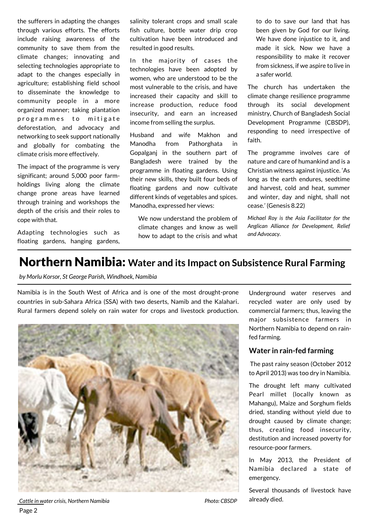the sufferers in adapting the changes through various efforts. The efforts include raising awareness of the community to save them from the climate changes; innovating and selecting technologies appropriate to adapt to the changes especially in agriculture; establishing field school to disseminate the knowledge to community people in a more organized manner; taking plantation programmes to mitigate deforestation, and advocacy and networking to seek support nationally and globally for combating the climate crisis more effectively.

The impact of the programme is very significant; around 5,000 poor farmholdings living along the climate change prone areas have learned through training and workshops the depth of the crisis and their roles to cope with that.

Adapting technologies such as floating gardens, hanging gardens, salinity tolerant crops and small scale fish culture, bottle water drip crop cultivation have been introduced and resulted in good results.

In the majority of cases the technologies have been adopted by women, who are understood to be the most vulnerable to the crisis, and have increased their capacity and skill to increase production, reduce food insecurity, and earn an increased income from selling the surplus.

Husband and wife Makhon and Manodha from Pathorghata in Gopalganj in the southern part of Bangladesh were trained by the programme in floating gardens. Using their new skills, they built four beds of floating gardens and now cultivate different kinds of vegetables and spices. Manodha, expressed her views:

We now understand the problem of climate changes and know as well how to adapt to the crisis and what to do to save our land that has been given by God for our living. We have done injustice to it, and made it sick. Now we have a responsibility to make it recover from sickness, if we aspire to live in a safer world.

The church has undertaken the climate change resilience programme through its social development ministry, Church of Bangladesh Social Development Programme (CBSDP), responding to need irrespective of faith.

The programme involves care of nature and care of humankind and is a Christian witness against injustice. 'As long as the earth endures, seedtime and harvest, cold and heat, summer and winter, day and night, shall not cease.' (Genesis 8.22)

*Michael Roy is the Asia Facilitator for the Anglican Alliance for Development, Relief and Advocacy.* 

### Northern Namibia: **Water and its Impact on Subsistence Rural Farming**

*by Morlu Korsor, St George Parish, Windhoek, Namibia* 

Namibia is in the South West of Africa and is one of the most drought-prone countries in sub-Sahara Africa (SSA) with two deserts, Namib and the Kalahari. Rural farmers depend solely on rain water for crops and livestock production.



*Cattle in water crisis, Northern Namibia Photo: CBSDP* Page 2

Underground water reserves and recycled water are only used by commercial farmers; thus, leaving the major subsistence farmers in Northern Namibia to depend on rainfed farming.

#### **Water in rain-fed farming**

The past rainy season (October 2012 to April 2013) was too dry in Namibia.

The drought left many cultivated Pearl millet (locally known as Mahangu), Maize and Sorghum fields dried, standing without yield due to drought caused by climate change; thus, creating food insecurity, destitution and increased poverty for resource-poor farmers.

In May 2013, the President of Namibia declared a state of emergency.

Several thousands of livestock have already died.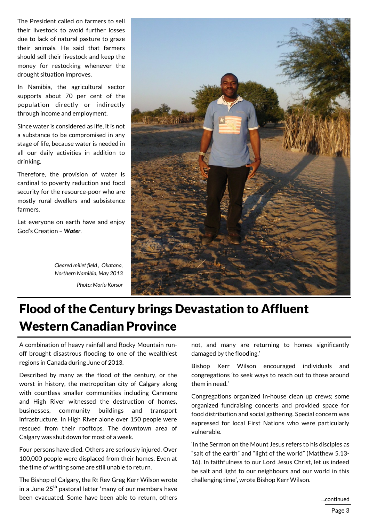The President called on farmers to sell their livestock to avoid further losses due to lack of natural pasture to graze their animals. He said that farmers should sell their livestock and keep the money for restocking whenever the drought situation improves.

In Namibia, the agricultural sector supports about 70 per cent of the population directly or indirectly through income and employment.

Since water is considered as life, it is not a substance to be compromised in any stage of life, because water is needed in all our daily activities in addition to drinking.

Therefore, the provision of water is cardinal to poverty reduction and food security for the resource-poor who are mostly rural dwellers and subsistence farmers.

Let everyone on earth have and enjoy God's Creation – *Water*.

> *Cleared millet field , Okatana, Northern Namibia, May 2013 Photo: Morlu Korsor*



# Flood of the Century brings Devastation to Affluent Western Canadian Province

A combination of heavy rainfall and Rocky Mountain runoff brought disastrous flooding to one of the wealthiest regions in Canada during June of 2013.

Described by many as the flood of the century, or the worst in history, the metropolitan city of Calgary along with countless smaller communities including Canmore and High River witnessed the destruction of homes, businesses, community buildings and transport infrastructure. In High River alone over 150 people were rescued from their rooftops. The downtown area of Calgary was shut down for most of a week.

Four persons have died. Others are seriously injured. Over 100,000 people were displaced from their homes. Even at the time of writing some are still unable to return.

The Bishop of Calgary, the Rt Rev Greg Kerr Wilson wrote in a June  $25<sup>th</sup>$  pastoral letter 'many of our members have been evacuated. Some have been able to return, others

not, and many are returning to homes significantly damaged by the flooding.'

Bishop Kerr Wilson encouraged individuals and congregations 'to seek ways to reach out to those around them in need.'

Congregations organized in-house clean up crews; some organized fundraising concerts and provided space for food distribution and social gathering. Special concern was expressed for local First Nations who were particularly vulnerable.

'In the Sermon on the Mount Jesus refers to his disciples as "salt of the earth" and "light of the world" (Matthew 5.13- 16). In faithfulness to our Lord Jesus Christ, let us indeed be salt and light to our neighbours and our world in this challenging time', wrote Bishop Kerr Wilson.